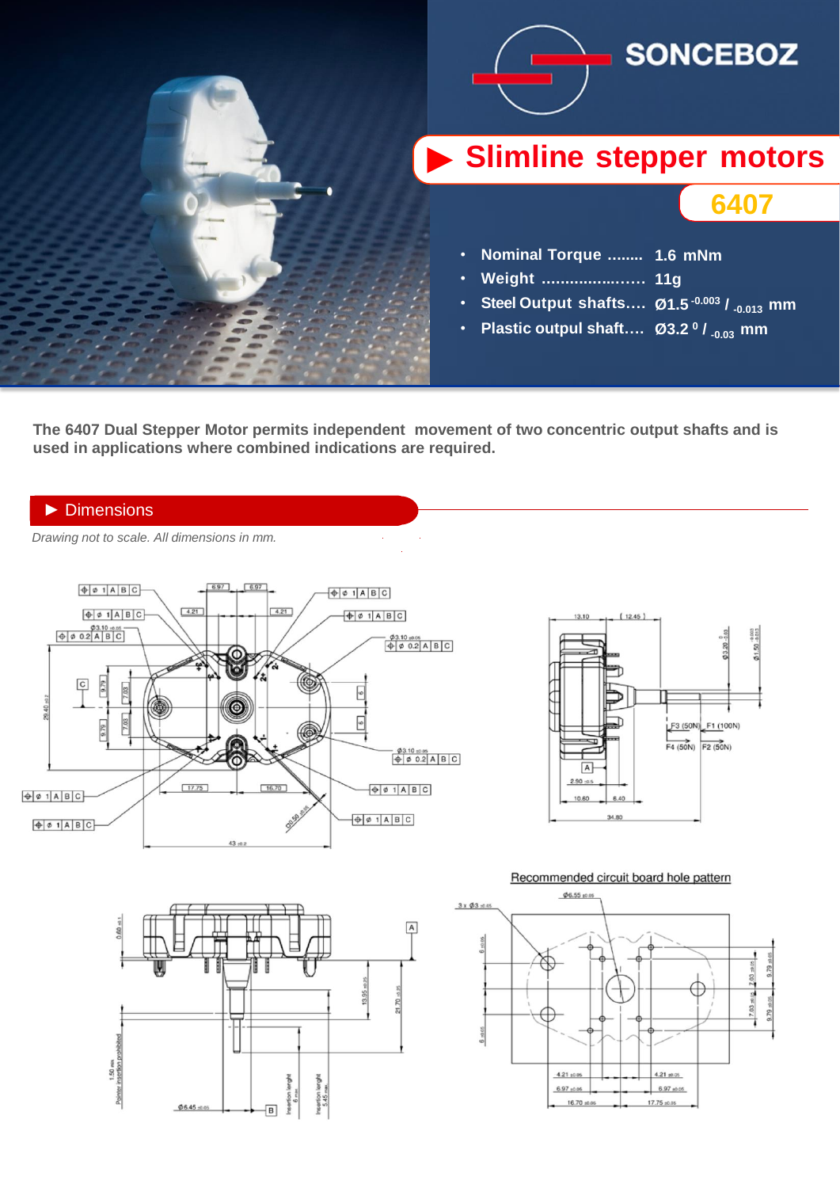

**The 6407 Dual Stepper Motor permits independent movement of two concentric output shafts and is used in applications where combined indications are required.**

## ► Dimensions

► *Drawing not to scale. All dimensions in mm.*







## Recommended circuit board hole pattern